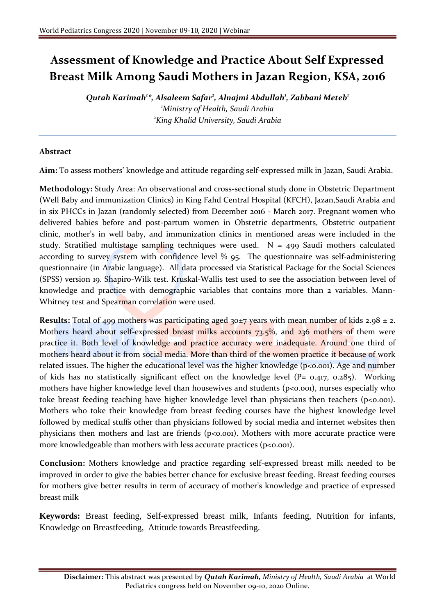## **Assessment of Knowledge and Practice About Self Expressed Breast Milk Among Saudi Mothers in Jazan Region, KSA, 2016**

*Qutah Karimah<sup>1</sup> \*, Alsaleem Safar<sup>2</sup> , Alnajmi Abdullah<sup>1</sup> , Zabbani Meteb<sup>1</sup> <sup>1</sup>Ministry of Health, Saudi Arabia <sup>2</sup>King Khalid University, Saudi Arabia*

## **Abstract**

**Aim:** To assess mothers' knowledge and attitude regarding self-expressed milk in Jazan, Saudi Arabia.

**Methodology:** Study Area: An observational and cross-sectional study done in Obstetric Department (Well Baby and immunization Clinics) in King Fahd Central Hospital (KFCH), Jazan,Saudi Arabia and in six PHCCs in Jazan (randomly selected) from December 2016 - March 2017. Pregnant women who delivered babies before and post-partum women in Obstetric departments, Obstetric outpatient clinic, mother's in well baby, and immunization clinics in mentioned areas were included in the study. Stratified multistage sampling techniques were used.  $N = 499$  Saudi mothers calculated according to survey system with confidence level % 95. The questionnaire was self-administering questionnaire (in Arabic language). All data processed via Statistical Package for the Social Sciences (SPSS) version 19. Shapiro-Wilk test. Kruskal-Wallis test used to see the association between level of knowledge and practice with demographic variables that contains more than 2 variables. Mann-Whitney test and Spearman correlation were used.

**Results:** Total of 499 mothers was participating aged 30±7 years with mean number of kids 2.98  $\pm$  2. Mothers heard about self-expressed breast milks accounts 73.5%, and 236 mothers of them were practice it. Both level of knowledge and practice accuracy were inadequate. Around one third of mothers heard about it from social media. More than third of the women practice it because of work related issues. The higher the educational level was the higher knowledge ( $p<0.001$ ). Age and number of kids has no statistically significant effect on the knowledge level ( $P= 0.417, 0.285$ ). Working mothers have higher knowledge level than housewives and students (p<0.001), nurses especially who toke breast feeding teaching have higher knowledge level than physicians then teachers ( $p<0.001$ ). Mothers who toke their knowledge from breast feeding courses have the highest knowledge level followed by medical stuffs other than physicians followed by social media and internet websites then physicians then mothers and last are friends ( $p<0.001$ ). Mothers with more accurate practice were more knowledgeable than mothers with less accurate practices ( $p \le 0.001$ ).

**Conclusion:** Mothers knowledge and practice regarding self-expressed breast milk needed to be improved in order to give the babies better chance for exclusive breast feeding. Breast feeding courses for mothers give better results in term of accuracy of mother's knowledge and practice of expressed breast milk

**Keywords:** Breast feeding, Self-expressed breast milk, Infants feeding, Nutrition for infants, Knowledge on Breastfeeding, Attitude towards Breastfeeding.